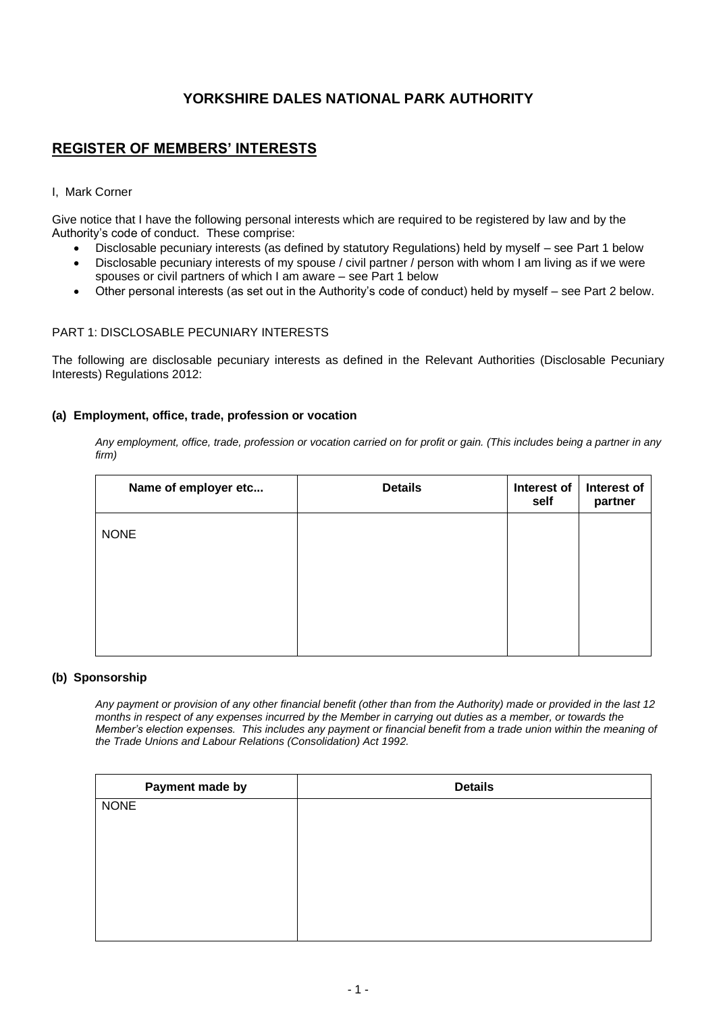# **YORKSHIRE DALES NATIONAL PARK AUTHORITY**

# **REGISTER OF MEMBERS' INTERESTS**

# I, Mark Corner

Give notice that I have the following personal interests which are required to be registered by law and by the Authority's code of conduct. These comprise:

- Disclosable pecuniary interests (as defined by statutory Regulations) held by myself see Part 1 below
- Disclosable pecuniary interests of my spouse / civil partner / person with whom I am living as if we were spouses or civil partners of which I am aware – see Part 1 below
- Other personal interests (as set out in the Authority's code of conduct) held by myself see Part 2 below.

## PART 1: DISCLOSABLE PECUNIARY INTERESTS

The following are disclosable pecuniary interests as defined in the Relevant Authorities (Disclosable Pecuniary Interests) Regulations 2012:

## **(a) Employment, office, trade, profession or vocation**

*Any employment, office, trade, profession or vocation carried on for profit or gain. (This includes being a partner in any firm)*

| Name of employer etc | <b>Details</b> | Interest of<br>self | Interest of<br>partner |
|----------------------|----------------|---------------------|------------------------|
| <b>NONE</b>          |                |                     |                        |
|                      |                |                     |                        |
|                      |                |                     |                        |
|                      |                |                     |                        |

### **(b) Sponsorship**

*Any payment or provision of any other financial benefit (other than from the Authority) made or provided in the last 12 months in respect of any expenses incurred by the Member in carrying out duties as a member, or towards the Member's election expenses. This includes any payment or financial benefit from a trade union within the meaning of the Trade Unions and Labour Relations (Consolidation) Act 1992.*

| Payment made by | <b>Details</b> |
|-----------------|----------------|
| <b>NONE</b>     |                |
|                 |                |
|                 |                |
|                 |                |
|                 |                |
|                 |                |
|                 |                |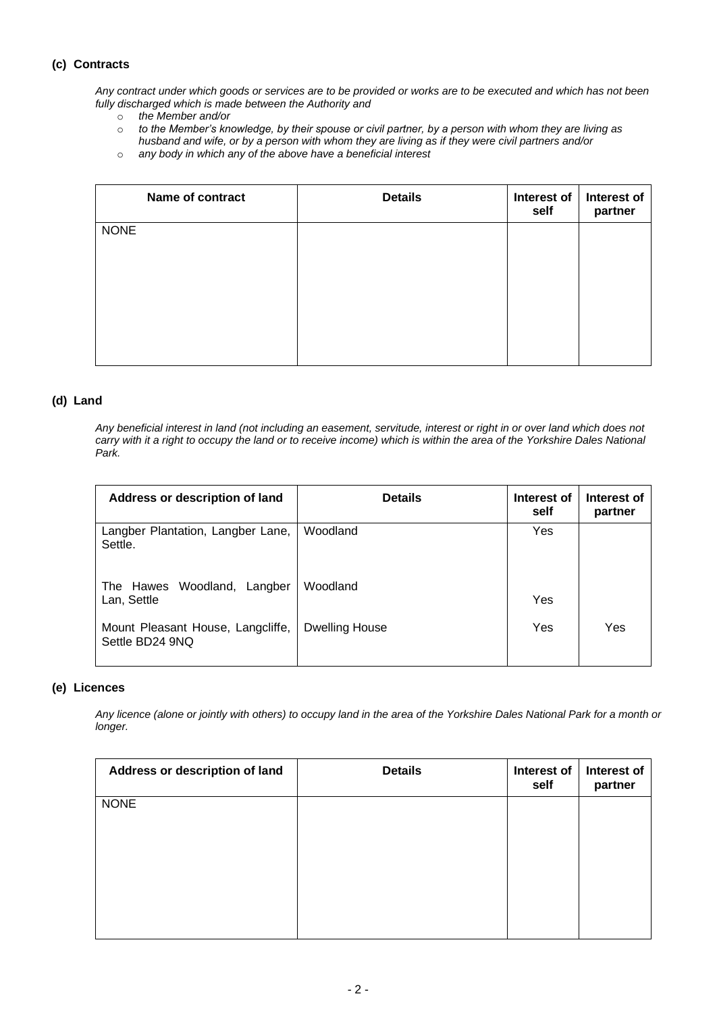# **(c) Contracts**

*Any contract under which goods or services are to be provided or works are to be executed and which has not been fully discharged which is made between the Authority and* 

- o *the Member and/or*
- o *to the Member's knowledge, by their spouse or civil partner, by a person with whom they are living as husband and wife, or by a person with whom they are living as if they were civil partners and/or*
- o *any body in which any of the above have a beneficial interest*

| <b>Name of contract</b> | <b>Details</b> | Interest of<br>self | Interest of<br>partner |
|-------------------------|----------------|---------------------|------------------------|
| <b>NONE</b>             |                |                     |                        |
|                         |                |                     |                        |
|                         |                |                     |                        |
|                         |                |                     |                        |
|                         |                |                     |                        |

# **(d) Land**

*Any beneficial interest in land (not including an easement, servitude, interest or right in or over land which does not carry with it a right to occupy the land or to receive income) which is within the area of the Yorkshire Dales National Park.*

| Address or description of land                       | <b>Details</b> | Interest of<br>self | Interest of<br>partner |
|------------------------------------------------------|----------------|---------------------|------------------------|
| Langber Plantation, Langber Lane,<br>Settle.         | Woodland       | Yes                 |                        |
| Woodland, Langber<br>The Hawes<br>Lan, Settle        | Woodland       | Yes                 |                        |
| Mount Pleasant House, Langcliffe,<br>Settle BD24 9NQ | Dwelling House | Yes                 | Yes                    |

### **(e) Licences**

*Any licence (alone or jointly with others) to occupy land in the area of the Yorkshire Dales National Park for a month or longer.*

| Address or description of land | <b>Details</b> | Interest of<br>self | Interest of<br>partner |
|--------------------------------|----------------|---------------------|------------------------|
| <b>NONE</b>                    |                |                     |                        |
|                                |                |                     |                        |
|                                |                |                     |                        |
|                                |                |                     |                        |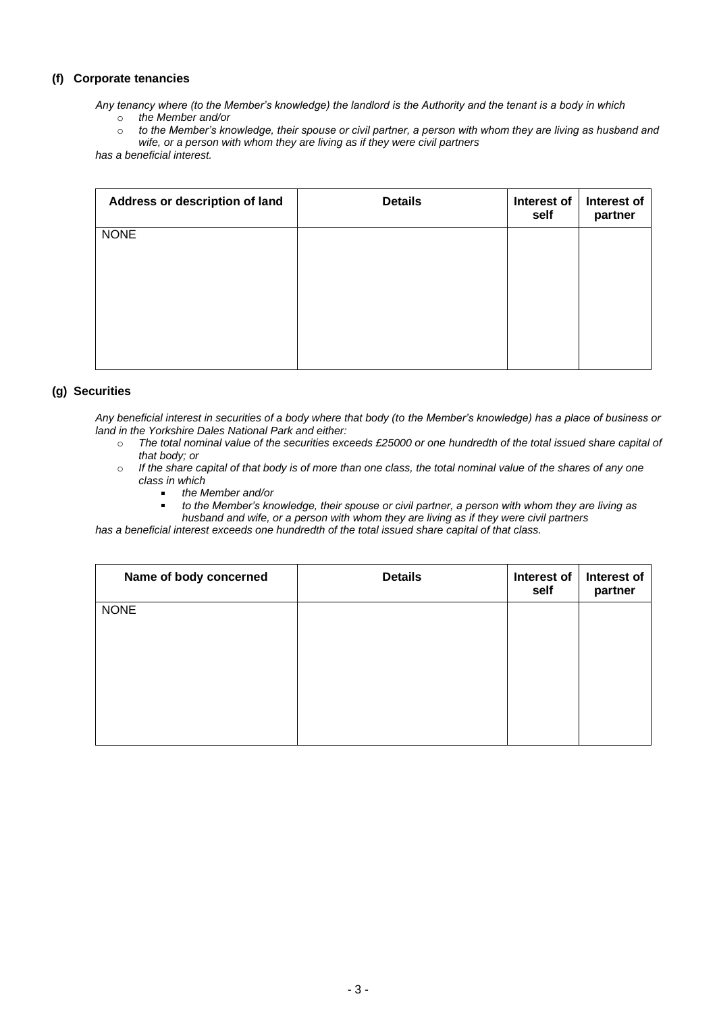# **(f) Corporate tenancies**

*Any tenancy where (to the Member's knowledge) the landlord is the Authority and the tenant is a body in which* o *the Member and/or*

o *to the Member's knowledge, their spouse or civil partner, a person with whom they are living as husband and wife, or a person with whom they are living as if they were civil partners* 

*has a beneficial interest.*

| Address or description of land | <b>Details</b> | Interest of<br>self | Interest of<br>partner |
|--------------------------------|----------------|---------------------|------------------------|
| <b>NONE</b>                    |                |                     |                        |
|                                |                |                     |                        |
|                                |                |                     |                        |
|                                |                |                     |                        |

# **(g) Securities**

*Any beneficial interest in securities of a body where that body (to the Member's knowledge) has a place of business or land in the Yorkshire Dales National Park and either:*

- o *The total nominal value of the securities exceeds £25000 or one hundredth of the total issued share capital of that body; or*
- o *If the share capital of that body is of more than one class, the total nominal value of the shares of any one class in which*
	- *the Member and/or*
	- *to the Member's knowledge, their spouse or civil partner, a person with whom they are living as husband and wife, or a person with whom they are living as if they were civil partners*

*has a beneficial interest exceeds one hundredth of the total issued share capital of that class.*

| Name of body concerned | <b>Details</b> | Interest of<br>self | Interest of<br>partner |
|------------------------|----------------|---------------------|------------------------|
| <b>NONE</b>            |                |                     |                        |
|                        |                |                     |                        |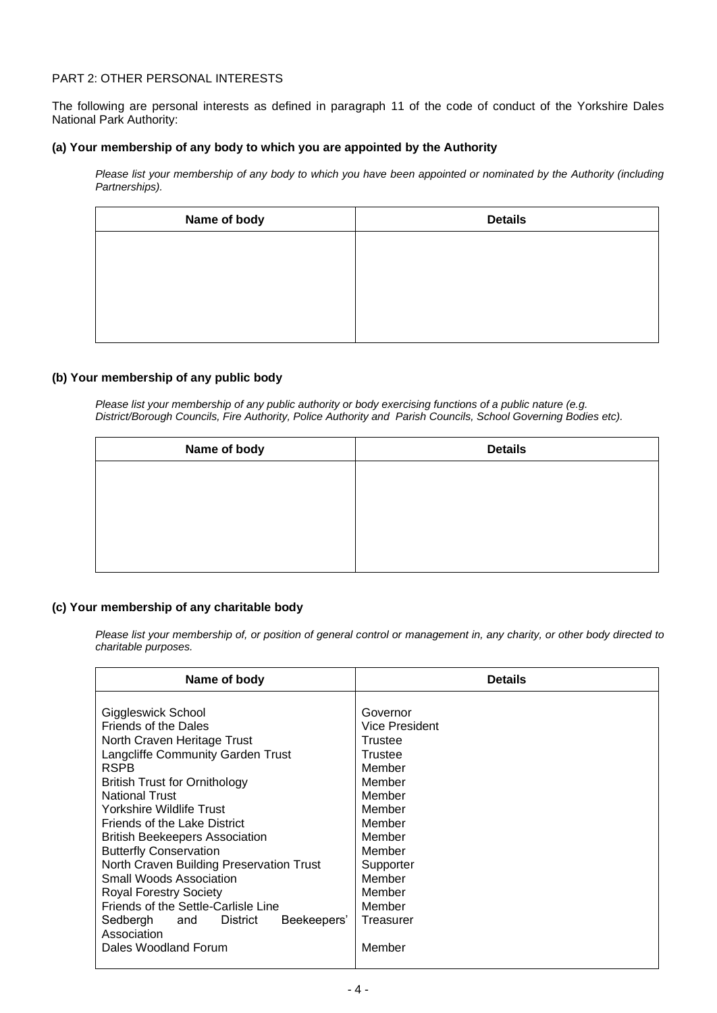# PART 2: OTHER PERSONAL INTERESTS

The following are personal interests as defined in paragraph 11 of the code of conduct of the Yorkshire Dales National Park Authority:

### **(a) Your membership of any body to which you are appointed by the Authority**

*Please list your membership of any body to which you have been appointed or nominated by the Authority (including Partnerships).*

| Name of body | <b>Details</b> |
|--------------|----------------|
|              |                |
|              |                |
|              |                |
|              |                |
|              |                |

### **(b) Your membership of any public body**

*Please list your membership of any public authority or body exercising functions of a public nature (e.g. District/Borough Councils, Fire Authority, Police Authority and Parish Councils, School Governing Bodies etc).*

| Name of body | <b>Details</b> |
|--------------|----------------|
|              |                |
|              |                |
|              |                |
|              |                |
|              |                |

# **(c) Your membership of any charitable body**

*Please list your membership of, or position of general control or management in, any charity, or other body directed to charitable purposes.*